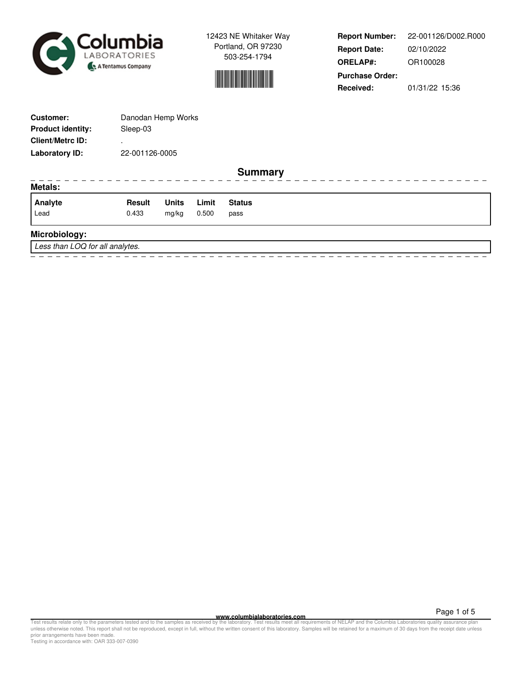



**Report Number: Report Date: ORELAP#:** 02/10/2022 OR100028 **Received:** 01/31/22 15:36 **Purchase Order:** 22-001126/D002.R000

| <b>Customer:</b>                | Danodan Hemp Works |              |       |                |  |  |  |  |  |  |  |  |
|---------------------------------|--------------------|--------------|-------|----------------|--|--|--|--|--|--|--|--|
| <b>Product identity:</b>        | Sleep-03           |              |       |                |  |  |  |  |  |  |  |  |
| <b>Client/Metrc ID:</b>         |                    |              |       |                |  |  |  |  |  |  |  |  |
| <b>Laboratory ID:</b>           | 22-001126-0005     |              |       |                |  |  |  |  |  |  |  |  |
|                                 |                    |              |       | <b>Summary</b> |  |  |  |  |  |  |  |  |
| <b>Metals:</b>                  |                    |              |       |                |  |  |  |  |  |  |  |  |
| Analyte                         | <b>Result</b>      | <b>Units</b> | Limit | <b>Status</b>  |  |  |  |  |  |  |  |  |
| Lead                            | 0.433              | mg/kg        | 0.500 | pass           |  |  |  |  |  |  |  |  |
| Microbiology:                   |                    |              |       |                |  |  |  |  |  |  |  |  |
| Less than LOQ for all analytes. |                    |              |       |                |  |  |  |  |  |  |  |  |
|                                 |                    |              |       |                |  |  |  |  |  |  |  |  |

**WWW.columbialaboratories.com**<br>unless otherwise noted. This report shall not be reproduced, except in full, without the varitten consent of this laboratory. Test results meet all requirements of NELAP and the Columbia Labo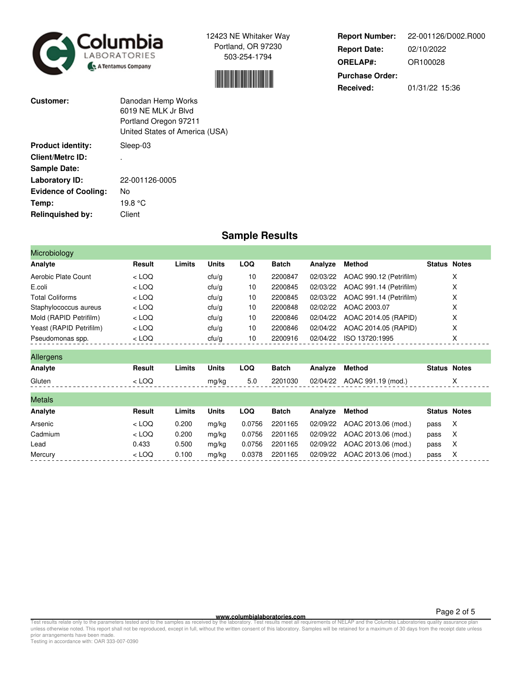



| <b>Report Number:</b>  | 22-001126/D002.R000 |
|------------------------|---------------------|
| <b>Report Date:</b>    | 02/10/2022          |
| <b>ORELAP#:</b>        | OR100028            |
| <b>Purchase Order:</b> |                     |
| Received:              | 01/31/22 15:36      |

| Customer:                   | Danodan Hemp Works<br>6019 NF MLK Jr Blyd<br>Portland Oregon 97211<br>United States of America (USA) |
|-----------------------------|------------------------------------------------------------------------------------------------------|
| <b>Product identity:</b>    | Sleep-03                                                                                             |
| <b>Client/Metrc ID:</b>     |                                                                                                      |
| <b>Sample Date:</b>         |                                                                                                      |
| Laboratory ID:              | 22-001126-0005                                                                                       |
| <b>Evidence of Cooling:</b> | No                                                                                                   |
| Temp:                       | 19.8 °C                                                                                              |
| Relinquished by:            | Client                                                                                               |

## **Sample Results**

| Microbiology            |         |        |              |            |              |          |                         |                     |   |
|-------------------------|---------|--------|--------------|------------|--------------|----------|-------------------------|---------------------|---|
| Analyte                 | Result  | Limits | <b>Units</b> | <b>LOQ</b> | <b>Batch</b> | Analyze  | <b>Method</b>           | <b>Status Notes</b> |   |
| Aerobic Plate Count     | $<$ LOQ |        | ctu/g        | 10         | 2200847      | 02/03/22 | AOAC 990.12 (Petrifilm) |                     | X |
| E.coli                  | $<$ LOQ |        | ctu/g        | 10         | 2200845      | 02/03/22 | AOAC 991.14 (Petrifilm) |                     | х |
| <b>Total Coliforms</b>  | $<$ LOQ |        | ctu/g        | 10         | 2200845      | 02/03/22 | AOAC 991.14 (Petrifilm) |                     | X |
| Staphylococcus aureus   | $<$ LOQ |        | ctu/g        | 10         | 2200848      | 02/02/22 | AOAC 2003.07            |                     | X |
| Mold (RAPID Petrifilm)  | $<$ LOQ |        | ctu/g        | 10         | 2200846      | 02/04/22 | AOAC 2014.05 (RAPID)    |                     | X |
| Yeast (RAPID Petrifilm) | $<$ LOQ |        | ctu/g        | 10         | 2200846      | 02/04/22 | AOAC 2014.05 (RAPID)    |                     | X |
| Pseudomonas spp.        | $<$ LOQ |        | ctu/g        | 10         | 2200916      | 02/04/22 | ISO 13720:1995          |                     | X |
| Allergens               |         |        |              |            |              |          |                         |                     |   |
| Analyte                 | Result  | Limits | <b>Units</b> | <b>LOQ</b> | <b>Batch</b> | Analyze  | <b>Method</b>           | <b>Status Notes</b> |   |
| Gluten                  | $<$ LOQ |        | mg/kg        | 5.0        | 2201030      | 02/04/22 | AOAC 991.19 (mod.)      |                     | X |
| <b>Metals</b>           |         |        |              |            |              |          |                         |                     |   |
| Analyte                 | Result  | Limits | <b>Units</b> | <b>LOQ</b> | <b>Batch</b> | Analyze  | <b>Method</b>           | <b>Status Notes</b> |   |
| Arsenic                 | $<$ LOQ | 0.200  | mg/kg        | 0.0756     | 2201165      | 02/09/22 | AOAC 2013.06 (mod.)     | pass                | X |
| Cadmium                 | $<$ LOQ | 0.200  | mg/kg        | 0.0756     | 2201165      | 02/09/22 | AOAC 2013.06 (mod.)     | pass                | X |
| Lead                    | 0.433   | 0.500  | mg/kg        | 0.0756     | 2201165      | 02/09/22 | AOAC 2013.06 (mod.)     | pass                | X |
| Mercury                 | $<$ LOQ | 0.100  | mg/kg        | 0.0378     | 2201165      | 02/09/22 | AOAC 2013.06 (mod.)     | pass                | х |

**WWW.columbialaboratories.com**<br>unless otherwise noted. This report shall not be reproduced, except in full, without the varitten consent of this laboratory. Test results meet all requirements of NELAP and the Columbia Labo

Testing in accordance with: OAR 333-007-0390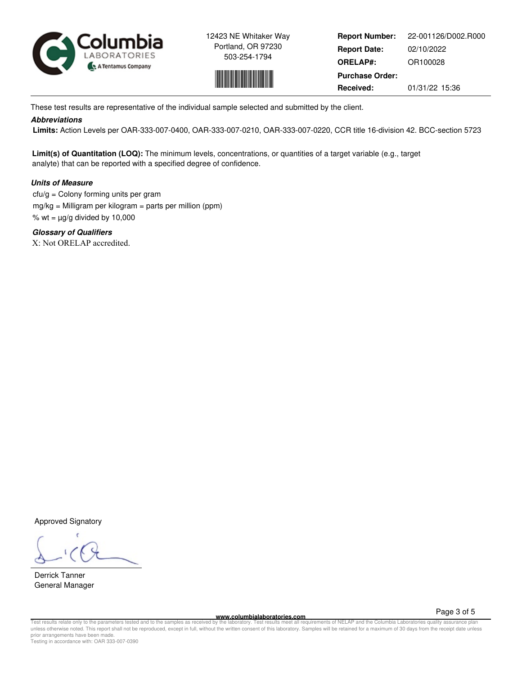



**Report Number: Report Date: ORELAP#:** 02/10/2022 OR100028 **Received:** 01/31/22 15:36 **Purchase Order:** 22-001126/D002.R000

These test results are representative of the individual sample selected and submitted by the client.

## **Abbreviations**

 **Limits:** Action Levels per OAR-333-007-0400, OAR-333-007-0210, OAR-333-007-0220, CCR title 16-division 42. BCC-section 5723

**Limit(s) of Quantitation (LOQ):** The minimum levels, concentrations, or quantities of a target variable (e.g., target analyte) that can be reported with a specified degree of confidence.

## **Units of Measure**

 $ctu/g =$  Colony forming units per gram mg/kg = Milligram per kilogram = parts per million (ppm) % wt =  $\mu$ g/g divided by 10,000

**Glossary of Qualifiers** X: Not ORELAP accredited.

Approved Signatory

Derrick Tanner General Manager

**www.columbialaboratories.com**

Page 3 of 5

Test results relate only to the parameters tested and to the samples as received by the laboratory. Test results meet all requirements of NELAP and the Columbia Laboratories quality assurance plan<br>unless otherwise noted. T prior arrangements have been made. Testing in accordance with: OAR 333-007-0390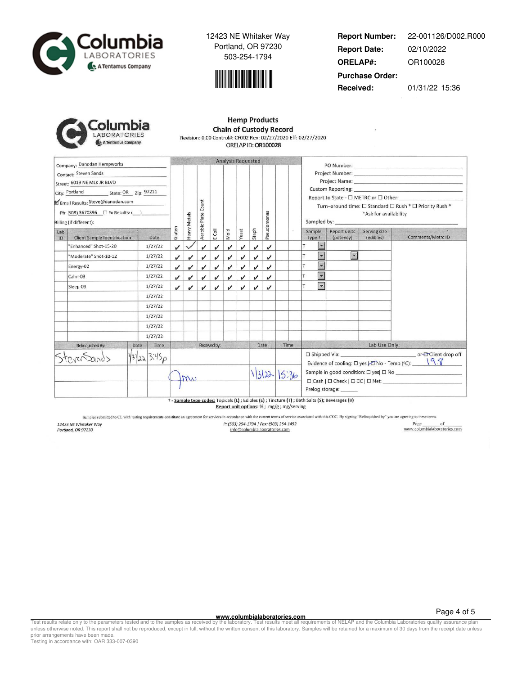



**Report Number: Report Date: ORELAP#:** 02/10/2022 OR100028 **Received:** 01/31/22 15:36 **Purchase Order:** 22-001126/D002.R000

Columbia ABORATORIES A Tentamus Company

|   | <b>Hemp Products</b>                                           |  |
|---|----------------------------------------------------------------|--|
| a | <b>Chain of Custody Record</b>                                 |  |
|   | Revision: 0.00 Control#: CF002 Rev: 02/27/2020 Eff: 02/27/2020 |  |
|   | ORELAP ID: OR100028                                            |  |

|                                                                                                                                 | Company: Danodan Hempworks   |              |                            |                            |                            |              | <b>Analysis Requested</b> |                            |              |             |       |                                                                                                                                                                                                                                                                                                                                                                                                                                  |                           |                           |                                                                                                                                                                                                                               |
|---------------------------------------------------------------------------------------------------------------------------------|------------------------------|--------------|----------------------------|----------------------------|----------------------------|--------------|---------------------------|----------------------------|--------------|-------------|-------|----------------------------------------------------------------------------------------------------------------------------------------------------------------------------------------------------------------------------------------------------------------------------------------------------------------------------------------------------------------------------------------------------------------------------------|---------------------------|---------------------------|-------------------------------------------------------------------------------------------------------------------------------------------------------------------------------------------------------------------------------|
| Contact: Steven Sands<br>Street: 6019 NE MLK JR BLVD<br>City: Portland State: OR Zip: 97211<br>Email Results: Steve@danodan.com |                              |              |                            |                            | Aerobic Plate Count        |              |                           |                            |              |             |       | Project Number: National Contract of the Contract of the Contract of the Contract of the Contract of the Contract of the Contract of the Contract of the Contract of the Contract of the Contract of the Contract of the Contr<br>Custom Reporting: The Contract of the Custom Reporting:<br>Report to State - $\Box$ METRC or $\Box$ Other:<br>Turn-around time: □ Standard □ Rush * □ Priority Rush *<br>*Ask for availability |                           |                           |                                                                                                                                                                                                                               |
| Billing (if different):                                                                                                         |                              |              |                            |                            |                            |              |                           |                            |              |             |       | Sampled by: Sample                                                                                                                                                                                                                                                                                                                                                                                                               |                           |                           |                                                                                                                                                                                                                               |
| Lab<br>ID                                                                                                                       | Client Sample Identification | Date         | Gluten                     | Heavy Metals               |                            | E Coli       | Mold                      | Yeast                      | Staph        | Pseudomonas |       | Sample<br>Type +                                                                                                                                                                                                                                                                                                                                                                                                                 | Report units<br>(potency) | Serving size<br>(edibles) | Comments/Metrc ID                                                                                                                                                                                                             |
|                                                                                                                                 | "Enhanced" Shot-15-20        | 1/27/22      | J                          |                            | $\boldsymbol{\nu}$         | ✓            | ✓                         | $\overline{\mathcal{L}}$   | ✓            | √           |       | $\overline{\phantom{0}}$                                                                                                                                                                                                                                                                                                                                                                                                         |                           |                           |                                                                                                                                                                                                                               |
|                                                                                                                                 | "Moderate" Shot-10-12        | 1/27/22      | $\boldsymbol{\mathcal{U}}$ | $\checkmark$               | J                          | J            | ✓                         | ✓                          | ✓            | ✓           |       | $\blacksquare$                                                                                                                                                                                                                                                                                                                                                                                                                   | $\vert \cdot \vert$       |                           |                                                                                                                                                                                                                               |
|                                                                                                                                 | Energy-02                    | 1/27/22      | J                          | $\sqrt{ }$                 | J                          | v            | v                         | v                          | $\checkmark$ | J           |       | $\blacksquare$                                                                                                                                                                                                                                                                                                                                                                                                                   |                           |                           |                                                                                                                                                                                                                               |
|                                                                                                                                 | Calm-03                      | 1/27/22      | J                          | $\boldsymbol{\mathcal{U}}$ | $\boldsymbol{\mathcal{U}}$ | v            | ✓                         | ✓                          | $\checkmark$ | v           |       | $\blacktriangleright$<br>T                                                                                                                                                                                                                                                                                                                                                                                                       |                           |                           |                                                                                                                                                                                                                               |
|                                                                                                                                 | Sleep-03                     | 1/27/22      | J                          | J                          | v                          | J            | $\checkmark$              | $\boldsymbol{\mathcal{U}}$ | ✓            | J           |       | $\blacktriangledown$                                                                                                                                                                                                                                                                                                                                                                                                             |                           |                           |                                                                                                                                                                                                                               |
|                                                                                                                                 |                              | 1/27/22      |                            |                            |                            |              |                           |                            |              |             |       |                                                                                                                                                                                                                                                                                                                                                                                                                                  |                           |                           |                                                                                                                                                                                                                               |
|                                                                                                                                 |                              | 1/27/22      |                            |                            |                            |              |                           |                            |              |             |       |                                                                                                                                                                                                                                                                                                                                                                                                                                  |                           |                           |                                                                                                                                                                                                                               |
|                                                                                                                                 |                              | 1/27/22      |                            |                            |                            |              |                           |                            |              |             |       |                                                                                                                                                                                                                                                                                                                                                                                                                                  |                           |                           |                                                                                                                                                                                                                               |
|                                                                                                                                 |                              | 1/27/22      |                            |                            |                            |              |                           |                            |              |             |       |                                                                                                                                                                                                                                                                                                                                                                                                                                  |                           |                           |                                                                                                                                                                                                                               |
|                                                                                                                                 |                              | 1/27/22      |                            |                            |                            |              |                           |                            |              |             |       |                                                                                                                                                                                                                                                                                                                                                                                                                                  |                           |                           |                                                                                                                                                                                                                               |
|                                                                                                                                 | Relinquished By:             | Time<br>Date |                            |                            |                            | Received by: |                           |                            |              | Date        | Time  |                                                                                                                                                                                                                                                                                                                                                                                                                                  |                           |                           | Lab Use Only: The Case of the Case of the Case of the Case of the Case of the Case of the Case of the Case of the Case of the Case of the Case of the Case of the Case of the Case of the Case of the Case of the Case of the |
|                                                                                                                                 |                              | 13223.3.45p  |                            |                            |                            |              |                           |                            |              |             |       |                                                                                                                                                                                                                                                                                                                                                                                                                                  |                           |                           | Evidence of cooling: $\square$ yes $\nparallel$ No - Temp (°C): $\qquad \qquad$ \cdot $\qquad$                                                                                                                                |
|                                                                                                                                 |                              |              |                            | $M_{\rm Al}$               |                            |              |                           |                            |              | 13122       | 15.36 | Prelog storage: _______<br>$1 - 1$ $-1$ $-1$ $-1$ $-1$ $-1$ $-1$                                                                                                                                                                                                                                                                                                                                                                 |                           |                           |                                                                                                                                                                                                                               |

+ - Sample type codes: Topicals (L) ; Edibles (E) ; Tincture (T) ; Bath Salts (S); Beverages (B) Report unit options: % ; mg/g ; mg/serving

Samples submitted to CL with testing requirements constitute an agreement for services in accordance with the current terms of service associated with this COC. By signing "Relinquished by" you are agreeing to these terms.

12423 NE Whitaker Way<br>Portland, OR 97230

P: (503) 254-1794 | Fax: (503) 254-1452 info@columbialaboratories.com

 $\begin{tabular}{c} Page \hspace{0.2cm} of \\ \hline www.columbiaaboratories.com \\ \end{tabular}$ 

**WWW.columbialaboratories.com**<br>unless otherwise noted. This report shall not be reproduced, except in full, without the varitten consent of this laboratory. Test results meet all requirements of NELAP and the Columbia Labo